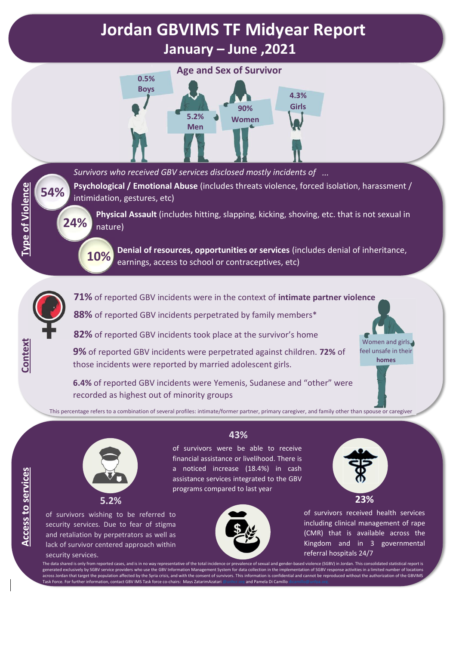# **Jordan GBVIMS TF Midyear Report January – June ,2021**



*Survivors who received GBV services disclosed mostly incidents of ...*

**Psychological / Emotional Abuse** (includes threats violence, forced isolation, harassment / intimidation, gestures, etc)

**Physical Assault** (includes hitting, slapping, kicking, shoving, etc. that is not sexual in nature)

**Denial of resources, opportunities or services** (includes denial of inheritance, earnings, access to school or contraceptives, etc) **10%**



**54%**

**Type of Violence** 

**24%**

**71%** of reported GBV incidents were in the context of **intimate partner violence**

**88%** of reported GBV incidents perpetrated by family members\*

**82%** of reported GBV incidents took place at the survivor's home

**9%** of reported GBV incidents were perpetrated against children. **72%** of those incidents were reported by married adolescent girls.



**6.4%** of reported GBV incidents were Yemenis, Sudanese and "other" were recorded as highest out of minority groups

This percentage refers to a combination of several profiles: intimate/former partner, primary caregiver, and family other than spouse or caregiver



of survivors wishing to be referred to security services. Due to fear of stigma and retaliation by perpetrators as well as lack of survivor centered approach within security services.

### **43%**

of survivors were be able to receive financial assistance or livelihood. There is a noticed increase (18.4%) in cash assistance services integrated to the GBV programs compared to last year





of survivors received health services including clinical management of rape (CMR) that is available across the Kingdom and in 3 governmental referral hospitals 24/7

The data shared is only from reported cases, and is in no way representative of the total incidence or prevalence of sexual and gender-based violence (SGBV) in Jordan. This consolidated statistical report is generated exclusively by SGBV service providers who use the GBV Information Management System for data collection in the implementation of SGBV response activities in a limited number of locations across Jordan that target the population affected by the Syria crisis, and with the consent of survivors. This information is confidential and cannot be reproduced without the authorization of the GBVIMS Task Force. For further information, contact GBV IMS Task force co-chairs: Mavs ZatarimAzatari @unhcr.org and Pamela Di Camillo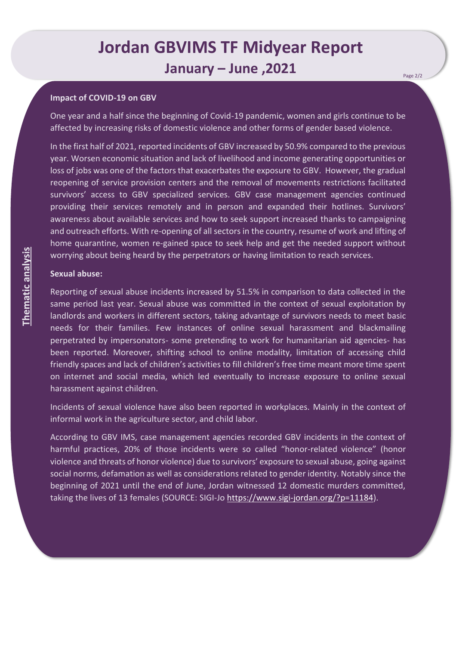## **Jordan GBVIMS TF Midyear Report January – June ,2021**

#### **Impact of COVID-19 on GBV**

One year and a half since the beginning of Covid-19 pandemic, women and girls continue to be affected by increasing risks of domestic violence and other forms of gender based violence.

In the first half of 2021, reported incidents of GBV increased by 50.9% compared to the previous year. Worsen economic situation and lack of livelihood and income generating opportunities or loss of jobs was one of the factors that exacerbates the exposure to GBV. However, the gradual reopening of service provision centers and the removal of movements restrictions facilitated survivors' access to GBV specialized services. GBV case management agencies continued providing their services remotely and in person and expanded their hotlines. Survivors' awareness about available services and how to seek support increased thanks to campaigning and outreach efforts. With re-opening of all sectors in the country, resume of work and lifting of home quarantine, women re-gained space to seek help and get the needed support without worrying about being heard by the perpetrators or having limitation to reach services.

#### **Sexual abuse:**

Reporting of sexual abuse incidents increased by 51.5% in comparison to data collected in the same period last year. Sexual abuse was committed in the context of sexual exploitation by landlords and workers in different sectors, taking advantage of survivors needs to meet basic needs for their families. Few instances of online sexual harassment and blackmailing perpetrated by impersonators- some pretending to work for humanitarian aid agencies- has been reported. Moreover, shifting school to online modality, limitation of accessing child friendly spaces and lack of children's activities to fill children's free time meant more time spent on internet and social media, which led eventually to increase exposure to online sexual harassment against children.

Incidents of sexual violence have also been reported in workplaces. Mainly in the context of informal work in the agriculture sector, and child labor.

According to GBV IMS, case management agencies recorded GBV incidents in the context of harmful practices, 20% of those incidents were so called "honor-related violence" (honor violence and threats of honor violence) due to survivors' exposure to sexual abuse, going against social norms, defamation as well as considerations related to gender identity. Notably since the beginning of 2021 until the end of June, Jordan witnessed 12 domestic murders committed, taking the lives of 13 females (SOURCE: SIGI-Jo <https://www.sigi-jordan.org/?p=11184>).

Page 2/2